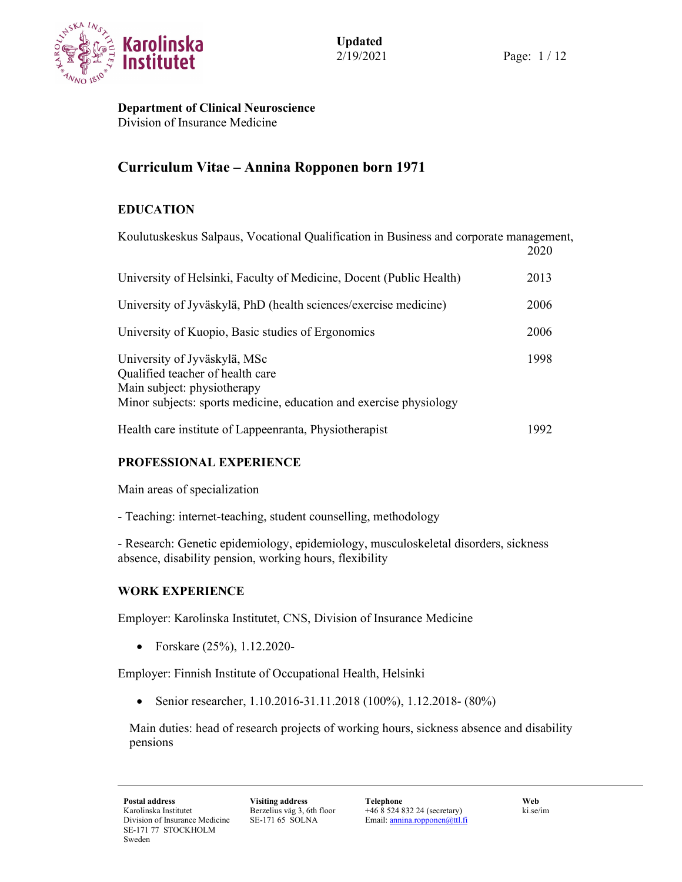

Department of Clinical Neuroscience Division of Insurance Medicine

# Curriculum Vitae – Annina Ropponen born 1971

# EDUCATION

| Koulutuskeskus Salpaus, Vocational Qualification in Business and corporate management,                                                                                | 2020 |
|-----------------------------------------------------------------------------------------------------------------------------------------------------------------------|------|
| University of Helsinki, Faculty of Medicine, Docent (Public Health)                                                                                                   | 2013 |
| University of Jyväskylä, PhD (health sciences/exercise medicine)                                                                                                      | 2006 |
| University of Kuopio, Basic studies of Ergonomics                                                                                                                     | 2006 |
| University of Jyväskylä, MSc<br>Qualified teacher of health care<br>Main subject: physiotherapy<br>Minor subjects: sports medicine, education and exercise physiology | 1998 |
| Health care institute of Lappeenranta, Physiotherapist                                                                                                                | 1992 |

# PROFESSIONAL EXPERIENCE

Main areas of specialization

- Teaching: internet-teaching, student counselling, methodology

- Research: Genetic epidemiology, epidemiology, musculoskeletal disorders, sickness absence, disability pension, working hours, flexibility

### WORK EXPERIENCE

Employer: Karolinska Institutet, CNS, Division of Insurance Medicine

• Forskare (25%), 1.12.2020-

Employer: Finnish Institute of Occupational Health, Helsinki

Senior researcher, 1.10.2016-31.11.2018 (100%), 1.12.2018- (80%)

Main duties: head of research projects of working hours, sickness absence and disability pensions

Berzelius väg 3, 6th floor SE-171 65 SOLNA

Postal address Visiting address Telephone Web +46 8 524 832 24 (secretary) Email: annina.ropponen@ttl.fi

ki.se/im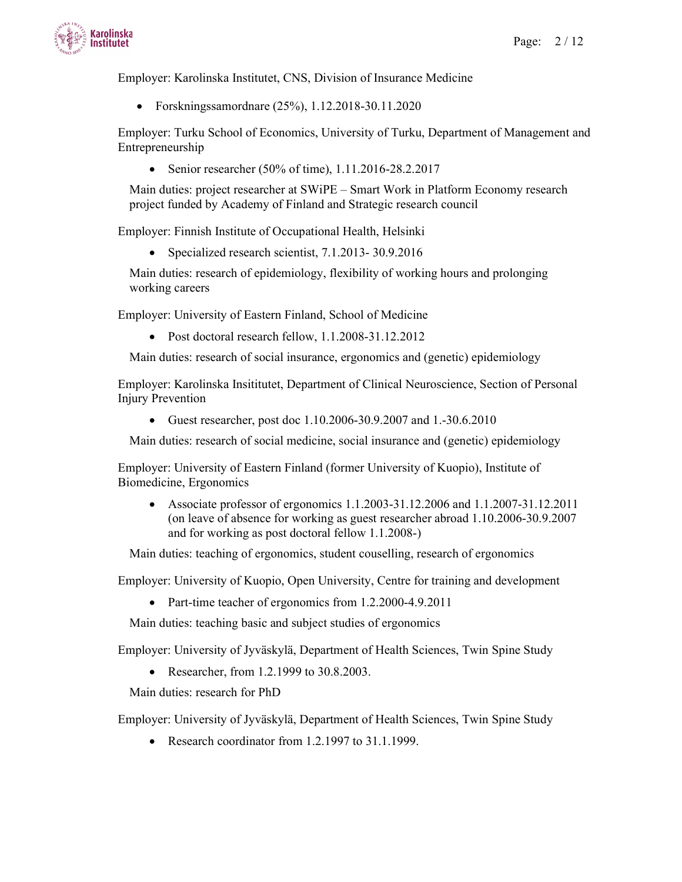

Employer: Karolinska Institutet, CNS, Division of Insurance Medicine

Forskningssamordnare (25%), 1.12.2018-30.11.2020

Employer: Turku School of Economics, University of Turku, Department of Management and Entrepreneurship

• Senior researcher (50% of time),  $1.11.2016 - 28.2.2017$ 

Main duties: project researcher at SWiPE – Smart Work in Platform Economy research project funded by Academy of Finland and Strategic research council

Employer: Finnish Institute of Occupational Health, Helsinki

• Specialized research scientist, 7.1.2013-30.9.2016

Main duties: research of epidemiology, flexibility of working hours and prolonging working careers

Employer: University of Eastern Finland, School of Medicine

• Post doctoral research fellow, 1.1.2008-31.12.2012

Main duties: research of social insurance, ergonomics and (genetic) epidemiology

Employer: Karolinska Insititutet, Department of Clinical Neuroscience, Section of Personal Injury Prevention

Guest researcher, post doc 1.10.2006-30.9.2007 and 1.-30.6.2010

Main duties: research of social medicine, social insurance and (genetic) epidemiology

Employer: University of Eastern Finland (former University of Kuopio), Institute of Biomedicine, Ergonomics

 Associate professor of ergonomics 1.1.2003-31.12.2006 and 1.1.2007-31.12.2011 (on leave of absence for working as guest researcher abroad 1.10.2006-30.9.2007 and for working as post doctoral fellow 1.1.2008-)

Main duties: teaching of ergonomics, student couselling, research of ergonomics

Employer: University of Kuopio, Open University, Centre for training and development

• Part-time teacher of ergonomics from 1.2.2000-4.9.2011

Main duties: teaching basic and subject studies of ergonomics

Employer: University of Jyväskylä, Department of Health Sciences, Twin Spine Study

• Researcher, from 1.2.1999 to 30.8.2003.

Main duties: research for PhD

Employer: University of Jyväskylä, Department of Health Sciences, Twin Spine Study

Research coordinator from 1.2.1997 to 31.1.1999.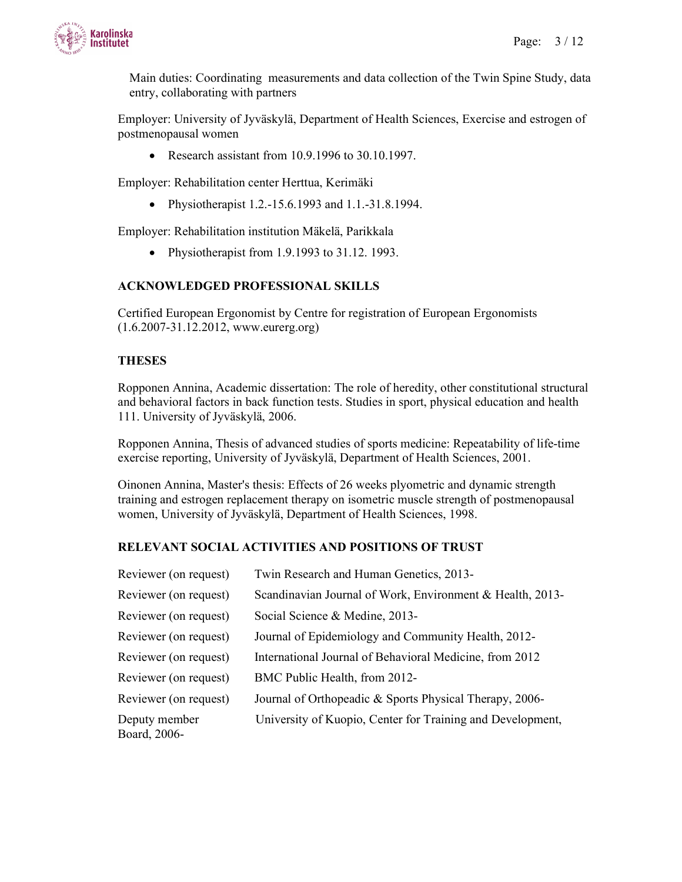

Main duties: Coordinating measurements and data collection of the Twin Spine Study, data entry, collaborating with partners

Employer: University of Jyväskylä, Department of Health Sciences, Exercise and estrogen of postmenopausal women

• Research assistant from  $10.9.1996$  to  $30.10.1997$ .

Employer: Rehabilitation center Herttua, Kerimäki

• Physiotherapist 1.2.-15.6.1993 and 1.1.-31.8.1994.

Employer: Rehabilitation institution Mäkelä, Parikkala

• Physiotherapist from 1.9.1993 to 31.12. 1993.

#### ACKNOWLEDGED PROFESSIONAL SKILLS

Certified European Ergonomist by Centre for registration of European Ergonomists (1.6.2007-31.12.2012, www.eurerg.org)

#### THESES

Ropponen Annina, Academic dissertation: The role of heredity, other constitutional structural and behavioral factors in back function tests. Studies in sport, physical education and health 111. University of Jyväskylä, 2006.

Ropponen Annina, Thesis of advanced studies of sports medicine: Repeatability of life-time exercise reporting, University of Jyväskylä, Department of Health Sciences, 2001.

Oinonen Annina, Master's thesis: Effects of 26 weeks plyometric and dynamic strength training and estrogen replacement therapy on isometric muscle strength of postmenopausal women, University of Jyväskylä, Department of Health Sciences, 1998.

#### RELEVANT SOCIAL ACTIVITIES AND POSITIONS OF TRUST

| Reviewer (on request)         | Twin Research and Human Genetics, 2013-                    |
|-------------------------------|------------------------------------------------------------|
| Reviewer (on request)         | Scandinavian Journal of Work, Environment & Health, 2013-  |
| Reviewer (on request)         | Social Science & Medine, 2013-                             |
| Reviewer (on request)         | Journal of Epidemiology and Community Health, 2012-        |
| Reviewer (on request)         | International Journal of Behavioral Medicine, from 2012    |
| Reviewer (on request)         | BMC Public Health, from 2012-                              |
| Reviewer (on request)         | Journal of Orthopeadic & Sports Physical Therapy, 2006-    |
| Deputy member<br>Board, 2006- | University of Kuopio, Center for Training and Development, |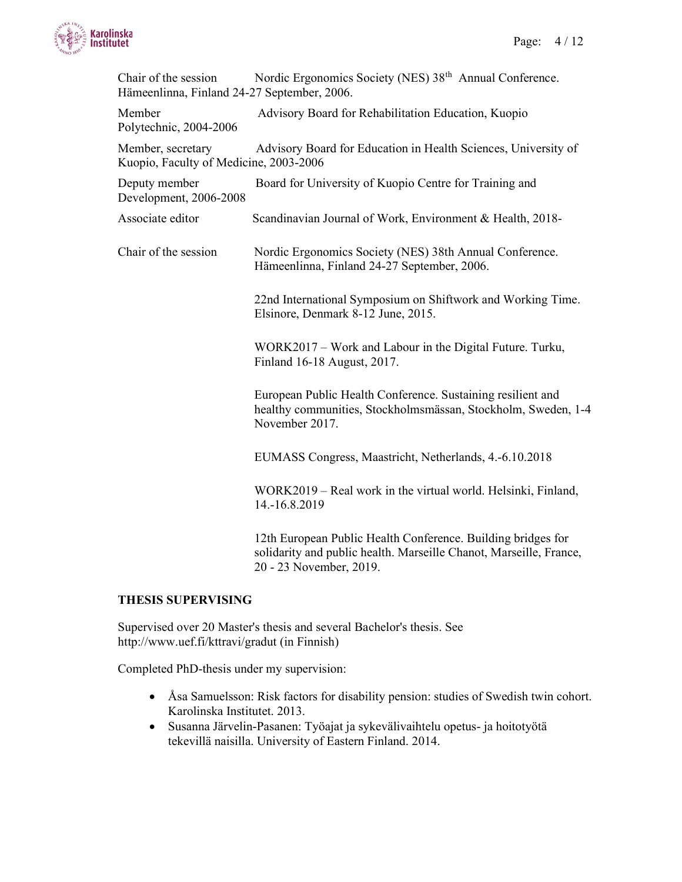

| Chair of the session<br>Hämeenlinna, Finland 24-27 September, 2006. | Nordic Ergonomics Society (NES) 38 <sup>th</sup> Annual Conference.                                                                            |
|---------------------------------------------------------------------|------------------------------------------------------------------------------------------------------------------------------------------------|
| Member<br>Polytechnic, 2004-2006                                    | Advisory Board for Rehabilitation Education, Kuopio                                                                                            |
| Member, secretary<br>Kuopio, Faculty of Medicine, 2003-2006         | Advisory Board for Education in Health Sciences, University of                                                                                 |
| Deputy member<br>Development, 2006-2008                             | Board for University of Kuopio Centre for Training and                                                                                         |
| Associate editor                                                    | Scandinavian Journal of Work, Environment & Health, 2018-                                                                                      |
| Chair of the session                                                | Nordic Ergonomics Society (NES) 38th Annual Conference.<br>Hämeenlinna, Finland 24-27 September, 2006.                                         |
|                                                                     | 22nd International Symposium on Shiftwork and Working Time.<br>Elsinore, Denmark 8-12 June, 2015.                                              |
|                                                                     | WORK2017 - Work and Labour in the Digital Future. Turku,<br>Finland 16-18 August, 2017.                                                        |
|                                                                     | European Public Health Conference. Sustaining resilient and<br>healthy communities, Stockholmsmässan, Stockholm, Sweden, 1-4<br>November 2017. |
|                                                                     | EUMASS Congress, Maastricht, Netherlands, 4.-6.10.2018                                                                                         |
|                                                                     | WORK2019 - Real work in the virtual world. Helsinki, Finland,<br>14.-16.8.2019                                                                 |
|                                                                     | 12th European Public Health Conference. Building bridges for<br>solidarity and public health. Marseille Chanot, Marseille, France,             |

#### THESIS SUPERVISING

Supervised over 20 Master's thesis and several Bachelor's thesis. See http://www.uef.fi/kttravi/gradut (in Finnish)

20 - 23 November, 2019.

Completed PhD-thesis under my supervision:

- Åsa Samuelsson: Risk factors for disability pension: studies of Swedish twin cohort. Karolinska Institutet. 2013.
- Susanna Järvelin-Pasanen: Työajat ja sykevälivaihtelu opetus- ja hoitotyötä tekevillä naisilla. University of Eastern Finland. 2014.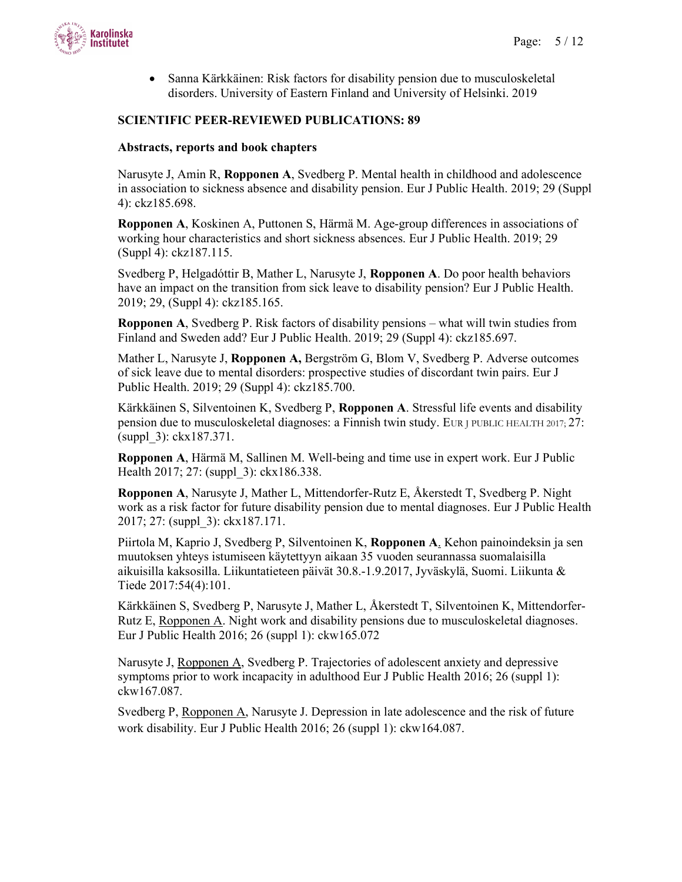

 Sanna Kärkkäinen: Risk factors for disability pension due to musculoskeletal disorders. University of Eastern Finland and University of Helsinki. 2019

#### SCIENTIFIC PEER-REVIEWED PUBLICATIONS: 89

#### Abstracts, reports and book chapters

Narusyte J, Amin R, Ropponen A, Svedberg P. Mental health in childhood and adolescence in association to sickness absence and disability pension. Eur J Public Health. 2019; 29 (Suppl 4): ckz185.698.

Ropponen A, Koskinen A, Puttonen S, Härmä M. Age-group differences in associations of working hour characteristics and short sickness absences. Eur J Public Health. 2019; 29 (Suppl 4): ckz187.115.

Svedberg P, Helgadóttir B, Mather L, Narusyte J, Ropponen A. Do poor health behaviors have an impact on the transition from sick leave to disability pension? Eur J Public Health. 2019; 29, (Suppl 4): ckz185.165.

Ropponen A, Svedberg P. Risk factors of disability pensions – what will twin studies from Finland and Sweden add? Eur J Public Health. 2019; 29 (Suppl 4): ckz185.697.

Mather L, Narusyte J, Ropponen A, Bergström G, Blom V, Svedberg P. Adverse outcomes of sick leave due to mental disorders: prospective studies of discordant twin pairs. Eur J Public Health. 2019; 29 (Suppl 4): ckz185.700.

Kärkkäinen S, Silventoinen K, Svedberg P, Ropponen A. Stressful life events and disability pension due to musculoskeletal diagnoses: a Finnish twin study. EUR J PUBLIC HEALTH 2017; 27: (suppl\_3): ckx187.371.

Ropponen A, Härmä M, Sallinen M. Well-being and time use in expert work. Eur J Public Health 2017; 27: (suppl 3): ckx186.338.

Ropponen A, Narusyte J, Mather L, Mittendorfer-Rutz E, Åkerstedt T, Svedberg P. Night work as a risk factor for future disability pension due to mental diagnoses. Eur J Public Health 2017; 27: (suppl\_3): ckx187.171.

Piirtola M, Kaprio J, Svedberg P, Silventoinen K, Ropponen A. Kehon painoindeksin ja sen muutoksen yhteys istumiseen käytettyyn aikaan 35 vuoden seurannassa suomalaisilla aikuisilla kaksosilla. Liikuntatieteen päivät 30.8.-1.9.2017, Jyväskylä, Suomi. Liikunta & Tiede 2017:54(4):101.

Kärkkäinen S, Svedberg P, Narusyte J, Mather L, Åkerstedt T, Silventoinen K, Mittendorfer-Rutz E, Ropponen A. Night work and disability pensions due to musculoskeletal diagnoses. Eur J Public Health 2016; 26 (suppl 1): ckw165.072

Narusyte J, Ropponen A, Svedberg P. Trajectories of adolescent anxiety and depressive symptoms prior to work incapacity in adulthood Eur J Public Health 2016; 26 (suppl 1): ckw167.087.

Svedberg P, Ropponen A, Narusyte J. Depression in late adolescence and the risk of future work disability. Eur J Public Health 2016; 26 (suppl 1): ckw164.087.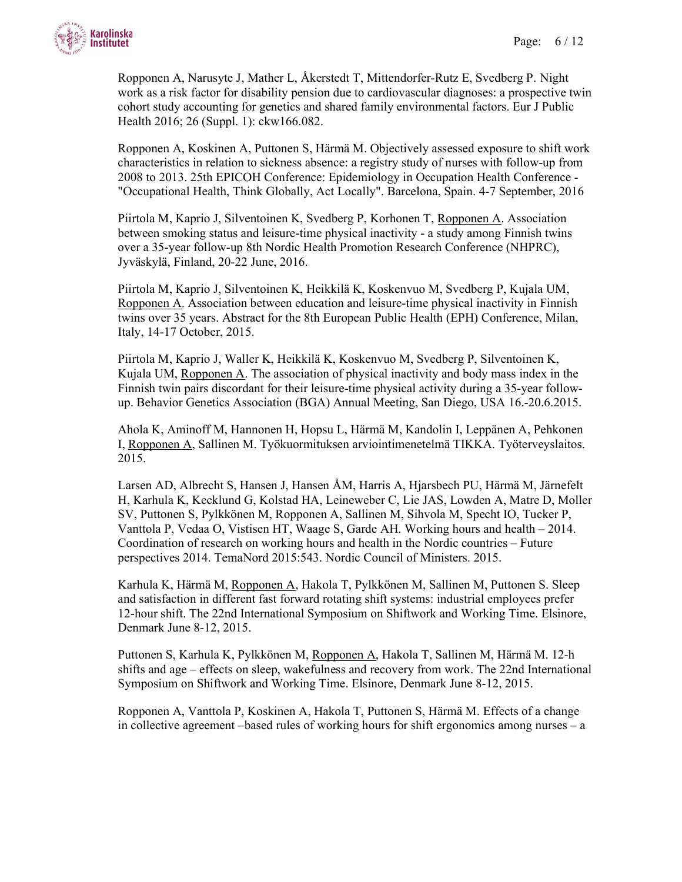

Ropponen A, Narusyte J, Mather L, Åkerstedt T, Mittendorfer-Rutz E, Svedberg P. Night work as a risk factor for disability pension due to cardiovascular diagnoses: a prospective twin cohort study accounting for genetics and shared family environmental factors. Eur J Public Health 2016; 26 (Suppl. 1): ckw166.082.

Ropponen A, Koskinen A, Puttonen S, Härmä M. Objectively assessed exposure to shift work characteristics in relation to sickness absence: a registry study of nurses with follow-up from 2008 to 2013. 25th EPICOH Conference: Epidemiology in Occupation Health Conference - "Occupational Health, Think Globally, Act Locally". Barcelona, Spain. 4-7 September, 2016

Piirtola M, Kaprio J, Silventoinen K, Svedberg P, Korhonen T, Ropponen A. Association between smoking status and leisure-time physical inactivity - a study among Finnish twins over a 35-year follow-up 8th Nordic Health Promotion Research Conference (NHPRC), Jyväskylä, Finland, 20-22 June, 2016.

Piirtola M, Kaprio J, Silventoinen K, Heikkilä K, Koskenvuo M, Svedberg P, Kujala UM, Ropponen A. Association between education and leisure-time physical inactivity in Finnish twins over 35 years. Abstract for the 8th European Public Health (EPH) Conference, Milan, Italy, 14-17 October, 2015.

Piirtola M, Kaprio J, Waller K, Heikkilä K, Koskenvuo M, Svedberg P, Silventoinen K, Kujala UM, Ropponen A. The association of physical inactivity and body mass index in the Finnish twin pairs discordant for their leisure-time physical activity during a 35-year followup. Behavior Genetics Association (BGA) Annual Meeting, San Diego, USA 16.-20.6.2015.

Ahola K, Aminoff M, Hannonen H, Hopsu L, Härmä M, Kandolin I, Leppänen A, Pehkonen I, Ropponen A, Sallinen M. Työkuormituksen arviointimenetelmä TIKKA. Työterveyslaitos. 2015.

Larsen AD, Albrecht S, Hansen J, Hansen ÅM, Harris A, Hjarsbech PU, Härmä M, Järnefelt H, Karhula K, Kecklund G, Kolstad HA, Leineweber C, Lie JAS, Lowden A, Matre D, Moller SV, Puttonen S, Pylkkönen M, Ropponen A, Sallinen M, Sihvola M, Specht IO, Tucker P, Vanttola P, Vedaa O, Vistisen HT, Waage S, Garde AH. Working hours and health – 2014. Coordination of research on working hours and health in the Nordic countries – Future perspectives 2014. TemaNord 2015:543. Nordic Council of Ministers. 2015.

Karhula K, Härmä M, Ropponen A, Hakola T, Pylkkönen M, Sallinen M, Puttonen S. Sleep and satisfaction in different fast forward rotating shift systems: industrial employees prefer 12-hour shift. The 22nd International Symposium on Shiftwork and Working Time. Elsinore, Denmark June 8-12, 2015.

Puttonen S, Karhula K, Pylkkönen M, Ropponen A, Hakola T, Sallinen M, Härmä M. 12-h shifts and age – effects on sleep, wakefulness and recovery from work. The 22nd International Symposium on Shiftwork and Working Time. Elsinore, Denmark June 8-12, 2015.

Ropponen A, Vanttola P, Koskinen A, Hakola T, Puttonen S, Härmä M. Effects of a change in collective agreement –based rules of working hours for shift ergonomics among nurses – a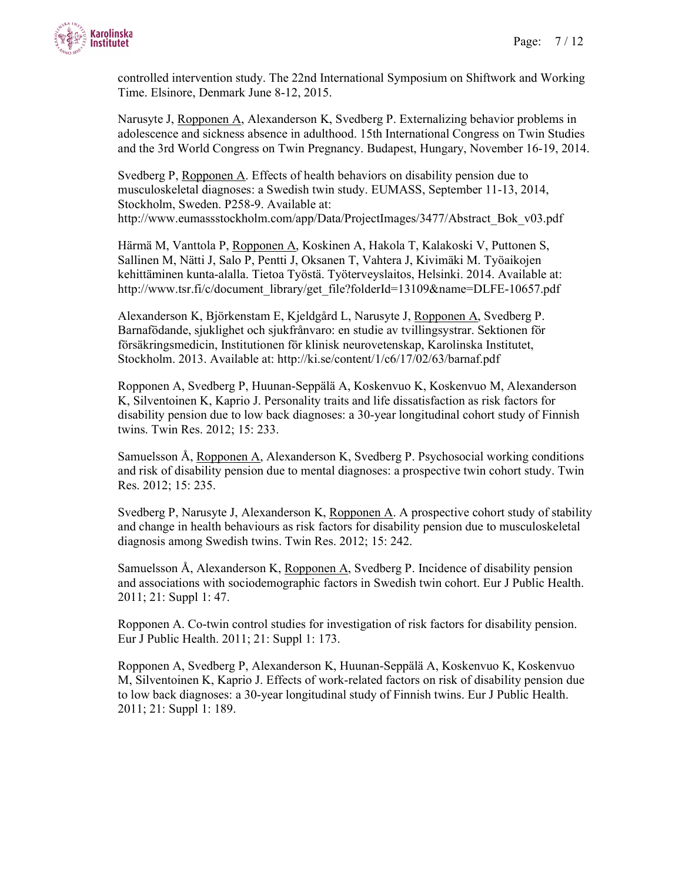

controlled intervention study. The 22nd International Symposium on Shiftwork and Working Time. Elsinore, Denmark June 8-12, 2015.

Narusyte J, Ropponen A, Alexanderson K, Svedberg P. Externalizing behavior problems in adolescence and sickness absence in adulthood. 15th International Congress on Twin Studies and the 3rd World Congress on Twin Pregnancy. Budapest, Hungary, November 16-19, 2014.

Svedberg P, Ropponen A. Effects of health behaviors on disability pension due to musculoskeletal diagnoses: a Swedish twin study. EUMASS, September 11-13, 2014, Stockholm, Sweden. P258-9. Available at: http://www.eumassstockholm.com/app/Data/ProjectImages/3477/Abstract\_Bok\_v03.pdf

Härmä M, Vanttola P, Ropponen A, Koskinen A, Hakola T, Kalakoski V, Puttonen S, Sallinen M, Nätti J, Salo P, Pentti J, Oksanen T, Vahtera J, Kivimäki M. Työaikojen kehittäminen kunta-alalla. Tietoa Työstä. Työterveyslaitos, Helsinki. 2014. Available at: http://www.tsr.fi/c/document\_library/get\_file?folderId=13109&name=DLFE-10657.pdf

Alexanderson K, Björkenstam E, Kjeldgård L, Narusyte J, Ropponen A, Svedberg P. Barnafödande, sjuklighet och sjukfrånvaro: en studie av tvillingsystrar. Sektionen för försäkringsmedicin, Institutionen för klinisk neurovetenskap, Karolinska Institutet, Stockholm. 2013. Available at: http://ki.se/content/1/c6/17/02/63/barnaf.pdf

Ropponen A, Svedberg P, Huunan-Seppälä A, Koskenvuo K, Koskenvuo M, Alexanderson K, Silventoinen K, Kaprio J. Personality traits and life dissatisfaction as risk factors for disability pension due to low back diagnoses: a 30-year longitudinal cohort study of Finnish twins. Twin Res. 2012; 15: 233.

Samuelsson  $\ddot{A}$ , Ropponen  $\underline{A}$ , Alexanderson K, Svedberg P. Psychosocial working conditions and risk of disability pension due to mental diagnoses: a prospective twin cohort study. Twin Res. 2012; 15: 235.

Svedberg P, Narusyte J, Alexanderson K, Ropponen A. A prospective cohort study of stability and change in health behaviours as risk factors for disability pension due to musculoskeletal diagnosis among Swedish twins. Twin Res. 2012; 15: 242.

Samuelsson Å, Alexanderson K, Ropponen A, Svedberg P. Incidence of disability pension and associations with sociodemographic factors in Swedish twin cohort. Eur J Public Health. 2011; 21: Suppl 1: 47.

Ropponen A. Co-twin control studies for investigation of risk factors for disability pension. Eur J Public Health. 2011; 21: Suppl 1: 173.

Ropponen A, Svedberg P, Alexanderson K, Huunan-Seppälä A, Koskenvuo K, Koskenvuo M, Silventoinen K, Kaprio J. Effects of work-related factors on risk of disability pension due to low back diagnoses: a 30-year longitudinal study of Finnish twins. Eur J Public Health. 2011; 21: Suppl 1: 189.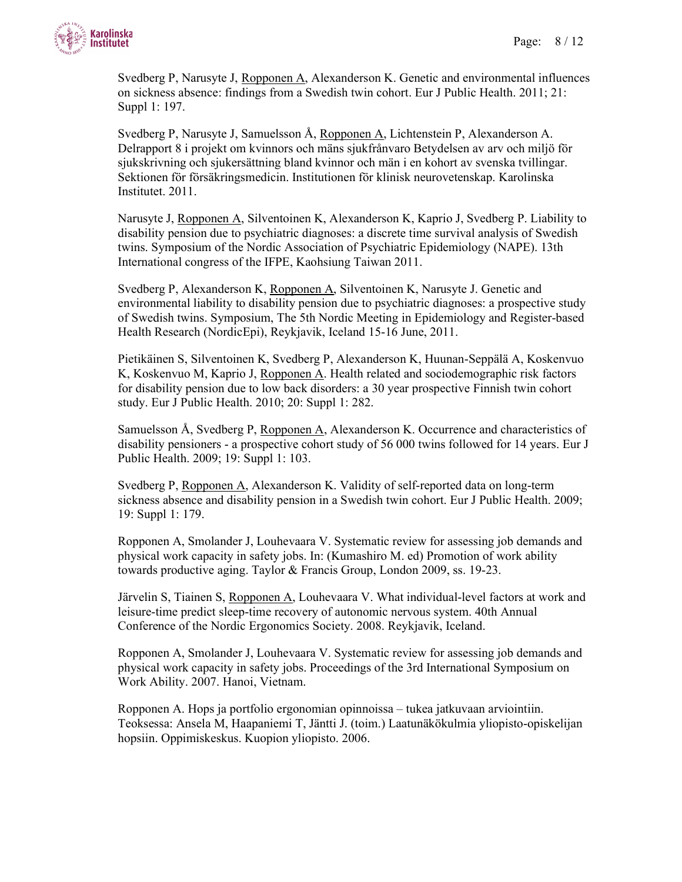

Svedberg P, Narusyte J, Ropponen A, Alexanderson K. Genetic and environmental influences on sickness absence: findings from a Swedish twin cohort. Eur J Public Health. 2011; 21: Suppl 1: 197.

Svedberg P, Narusyte J, Samuelsson Å, Ropponen A, Lichtenstein P, Alexanderson A. Delrapport 8 i projekt om kvinnors och mäns sjukfrånvaro Betydelsen av arv och miljö för sjukskrivning och sjukersättning bland kvinnor och män i en kohort av svenska tvillingar. Sektionen för försäkringsmedicin. Institutionen för klinisk neurovetenskap. Karolinska Institutet. 2011.

Narusyte J, Ropponen A, Silventoinen K, Alexanderson K, Kaprio J, Svedberg P. Liability to disability pension due to psychiatric diagnoses: a discrete time survival analysis of Swedish twins. Symposium of the Nordic Association of Psychiatric Epidemiology (NAPE). 13th International congress of the IFPE, Kaohsiung Taiwan 2011.

Svedberg P, Alexanderson K, Ropponen A, Silventoinen K, Narusyte J. Genetic and environmental liability to disability pension due to psychiatric diagnoses: a prospective study of Swedish twins. Symposium, The 5th Nordic Meeting in Epidemiology and Register-based Health Research (NordicEpi), Reykjavik, Iceland 15-16 June, 2011.

Pietikäinen S, Silventoinen K, Svedberg P, Alexanderson K, Huunan-Seppälä A, Koskenvuo K, Koskenvuo M, Kaprio J, Ropponen A. Health related and sociodemographic risk factors for disability pension due to low back disorders: a 30 year prospective Finnish twin cohort study. Eur J Public Health. 2010; 20: Suppl 1: 282.

Samuelsson Å, Svedberg P, Ropponen A, Alexanderson K. Occurrence and characteristics of disability pensioners - a prospective cohort study of 56 000 twins followed for 14 years. Eur J Public Health. 2009; 19: Suppl 1: 103.

Svedberg P, Ropponen A, Alexanderson K. Validity of self-reported data on long-term sickness absence and disability pension in a Swedish twin cohort. Eur J Public Health. 2009; 19: Suppl 1: 179.

Ropponen A, Smolander J, Louhevaara V. Systematic review for assessing job demands and physical work capacity in safety jobs. In: (Kumashiro M. ed) Promotion of work ability towards productive aging. Taylor & Francis Group, London 2009, ss. 19-23.

Järvelin S, Tiainen S, Ropponen A, Louhevaara V. What individual-level factors at work and leisure-time predict sleep-time recovery of autonomic nervous system. 40th Annual Conference of the Nordic Ergonomics Society. 2008. Reykjavik, Iceland.

Ropponen A, Smolander J, Louhevaara V. Systematic review for assessing job demands and physical work capacity in safety jobs. Proceedings of the 3rd International Symposium on Work Ability. 2007. Hanoi, Vietnam.

Ropponen A. Hops ja portfolio ergonomian opinnoissa – tukea jatkuvaan arviointiin. Teoksessa: Ansela M, Haapaniemi T, Jäntti J. (toim.) Laatunäkökulmia yliopisto-opiskelijan hopsiin. Oppimiskeskus. Kuopion yliopisto. 2006.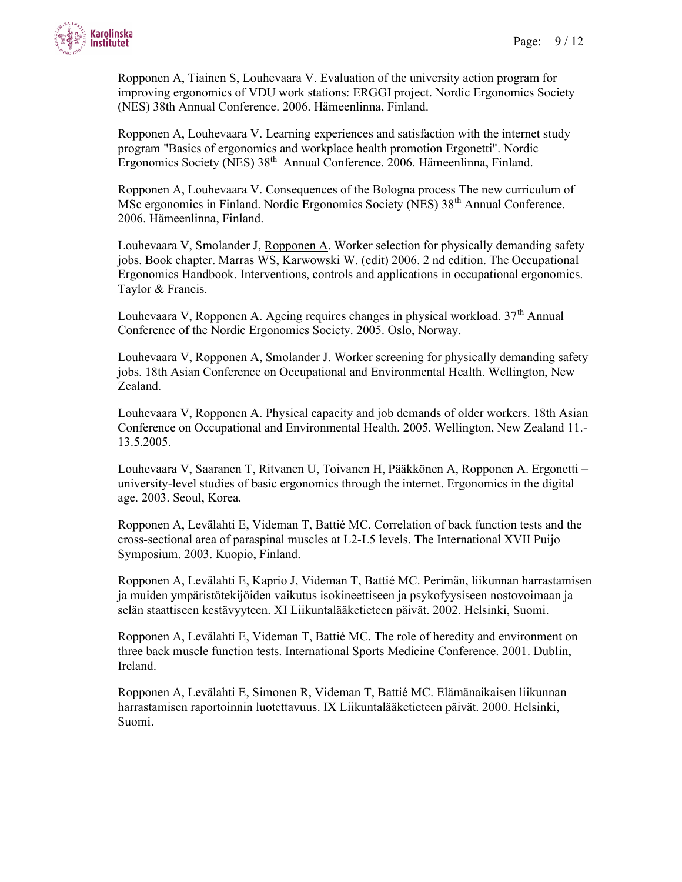

Ropponen A, Tiainen S, Louhevaara V. Evaluation of the university action program for improving ergonomics of VDU work stations: ERGGI project. Nordic Ergonomics Society (NES) 38th Annual Conference. 2006. Hämeenlinna, Finland.

Ropponen A, Louhevaara V. Learning experiences and satisfaction with the internet study program "Basics of ergonomics and workplace health promotion Ergonetti". Nordic Ergonomics Society (NES) 38<sup>th</sup> Annual Conference. 2006. Hämeenlinna, Finland.

Ropponen A, Louhevaara V. Consequences of the Bologna process The new curriculum of MSc ergonomics in Finland. Nordic Ergonomics Society (NES) 38th Annual Conference. 2006. Hämeenlinna, Finland.

Louhevaara V, Smolander J, Ropponen A. Worker selection for physically demanding safety jobs. Book chapter. Marras WS, Karwowski W. (edit) 2006. 2 nd edition. The Occupational Ergonomics Handbook. Interventions, controls and applications in occupational ergonomics. Taylor & Francis.

Louhevaara V, Ropponen A. Ageing requires changes in physical workload.  $37<sup>th</sup>$  Annual Conference of the Nordic Ergonomics Society. 2005. Oslo, Norway.

Louhevaara V, Ropponen A, Smolander J. Worker screening for physically demanding safety jobs. 18th Asian Conference on Occupational and Environmental Health. Wellington, New Zealand.

Louhevaara V, Ropponen A. Physical capacity and job demands of older workers. 18th Asian Conference on Occupational and Environmental Health. 2005. Wellington, New Zealand 11.- 13.5.2005.

Louhevaara V, Saaranen T, Ritvanen U, Toivanen H, Pääkkönen A, Ropponen A. Ergonetti – university-level studies of basic ergonomics through the internet. Ergonomics in the digital age. 2003. Seoul, Korea.

Ropponen A, Levälahti E, Videman T, Battié MC. Correlation of back function tests and the cross-sectional area of paraspinal muscles at L2-L5 levels. The International XVII Puijo Symposium. 2003. Kuopio, Finland.

Ropponen A, Levälahti E, Kaprio J, Videman T, Battié MC. Perimän, liikunnan harrastamisen ja muiden ympäristötekijöiden vaikutus isokineettiseen ja psykofyysiseen nostovoimaan ja selän staattiseen kestävyyteen. XI Liikuntalääketieteen päivät. 2002. Helsinki, Suomi.

Ropponen A, Levälahti E, Videman T, Battié MC. The role of heredity and environment on three back muscle function tests. International Sports Medicine Conference. 2001. Dublin, Ireland.

Ropponen A, Levälahti E, Simonen R, Videman T, Battié MC. Elämänaikaisen liikunnan harrastamisen raportoinnin luotettavuus. IX Liikuntalääketieteen päivät. 2000. Helsinki, Suomi.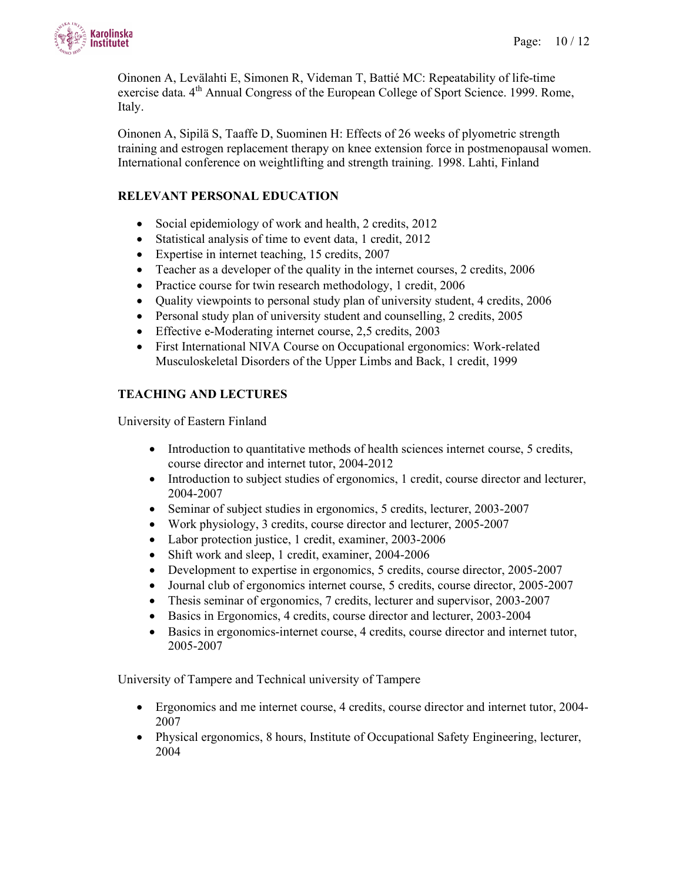

Oinonen A, Levälahti E, Simonen R, Videman T, Battié MC: Repeatability of life-time exercise data. 4<sup>th</sup> Annual Congress of the European College of Sport Science. 1999. Rome, Italy.

Oinonen A, Sipilä S, Taaffe D, Suominen H: Effects of 26 weeks of plyometric strength training and estrogen replacement therapy on knee extension force in postmenopausal women. International conference on weightlifting and strength training. 1998. Lahti, Finland

# RELEVANT PERSONAL EDUCATION

- Social epidemiology of work and health, 2 credits, 2012
- Statistical analysis of time to event data, 1 credit, 2012
- Expertise in internet teaching, 15 credits, 2007
- Teacher as a developer of the quality in the internet courses, 2 credits, 2006
- Practice course for twin research methodology, 1 credit, 2006
- Quality viewpoints to personal study plan of university student, 4 credits, 2006
- Personal study plan of university student and counselling, 2 credits, 2005
- Effective e-Moderating internet course, 2,5 credits, 2003
- First International NIVA Course on Occupational ergonomics: Work-related Musculoskeletal Disorders of the Upper Limbs and Back, 1 credit, 1999

### TEACHING AND LECTURES

University of Eastern Finland

- Introduction to quantitative methods of health sciences internet course, 5 credits, course director and internet tutor, 2004-2012
- Introduction to subject studies of ergonomics, 1 credit, course director and lecturer, 2004-2007
- Seminar of subject studies in ergonomics, 5 credits, lecturer, 2003-2007
- Work physiology, 3 credits, course director and lecturer, 2005-2007
- Labor protection justice, 1 credit, examiner, 2003-2006
- Shift work and sleep, 1 credit, examiner, 2004-2006
- Development to expertise in ergonomics, 5 credits, course director, 2005-2007
- Journal club of ergonomics internet course, 5 credits, course director, 2005-2007
- Thesis seminar of ergonomics, 7 credits, lecturer and supervisor, 2003-2007
- Basics in Ergonomics, 4 credits, course director and lecturer, 2003-2004
- Basics in ergonomics-internet course, 4 credits, course director and internet tutor, 2005-2007

University of Tampere and Technical university of Tampere

- Ergonomics and me internet course, 4 credits, course director and internet tutor, 2004- 2007
- Physical ergonomics, 8 hours, Institute of Occupational Safety Engineering, lecturer, 2004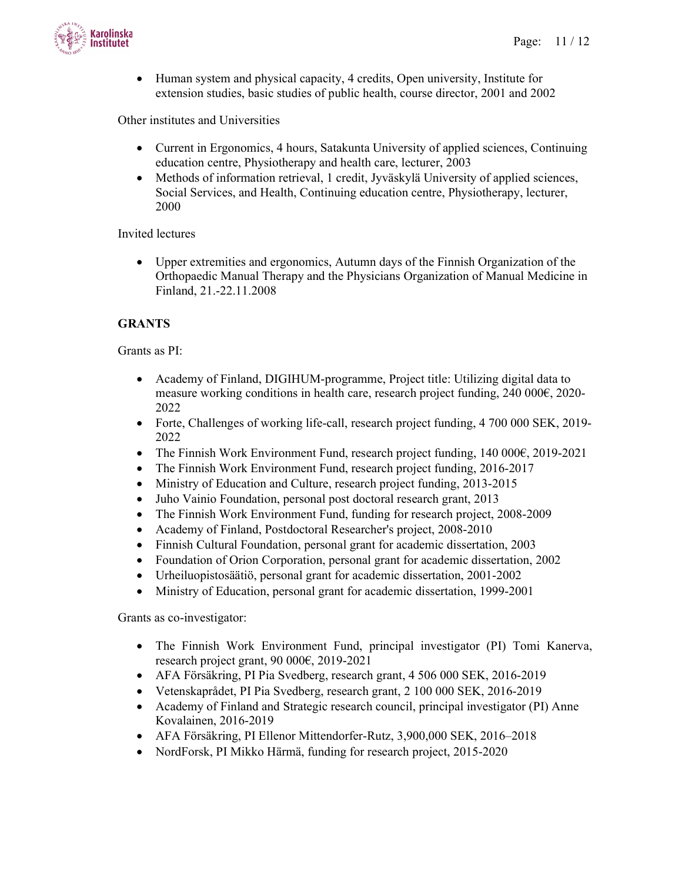

 Human system and physical capacity, 4 credits, Open university, Institute for extension studies, basic studies of public health, course director, 2001 and 2002

Other institutes and Universities

- Current in Ergonomics, 4 hours, Satakunta University of applied sciences, Continuing education centre, Physiotherapy and health care, lecturer, 2003
- Methods of information retrieval, 1 credit, Jyväskylä University of applied sciences, Social Services, and Health, Continuing education centre, Physiotherapy, lecturer, 2000

Invited lectures

 Upper extremities and ergonomics, Autumn days of the Finnish Organization of the Orthopaedic Manual Therapy and the Physicians Organization of Manual Medicine in Finland, 21.-22.11.2008

### **GRANTS**

Grants as PI:

- Academy of Finland, DIGIHUM-programme, Project title: Utilizing digital data to measure working conditions in health care, research project funding, 240 000€, 2020- 2022
- Forte, Challenges of working life-call, research project funding, 4 700 000 SEK, 2019-2022
- The Finnish Work Environment Fund, research project funding, 140 000€, 2019-2021
- The Finnish Work Environment Fund, research project funding, 2016-2017
- Ministry of Education and Culture, research project funding, 2013-2015
- Juho Vainio Foundation, personal post doctoral research grant, 2013
- The Finnish Work Environment Fund, funding for research project, 2008-2009
- Academy of Finland, Postdoctoral Researcher's project, 2008-2010
- Finnish Cultural Foundation, personal grant for academic dissertation, 2003
- Foundation of Orion Corporation, personal grant for academic dissertation, 2002
- Urheiluopistosäätiö, personal grant for academic dissertation, 2001-2002
- Ministry of Education, personal grant for academic dissertation, 1999-2001

Grants as co-investigator:

- The Finnish Work Environment Fund, principal investigator (PI) Tomi Kanerva, research project grant, 90 000€, 2019-2021
- AFA Försäkring, PI Pia Svedberg, research grant, 4 506 000 SEK, 2016-2019
- Vetenskaprådet, PI Pia Svedberg, research grant, 2 100 000 SEK, 2016-2019
- Academy of Finland and Strategic research council, principal investigator (PI) Anne Kovalainen, 2016-2019
- AFA Försäkring, PI Ellenor Mittendorfer-Rutz, 3,900,000 SEK, 2016–2018
- NordForsk, PI Mikko Härmä, funding for research project, 2015-2020